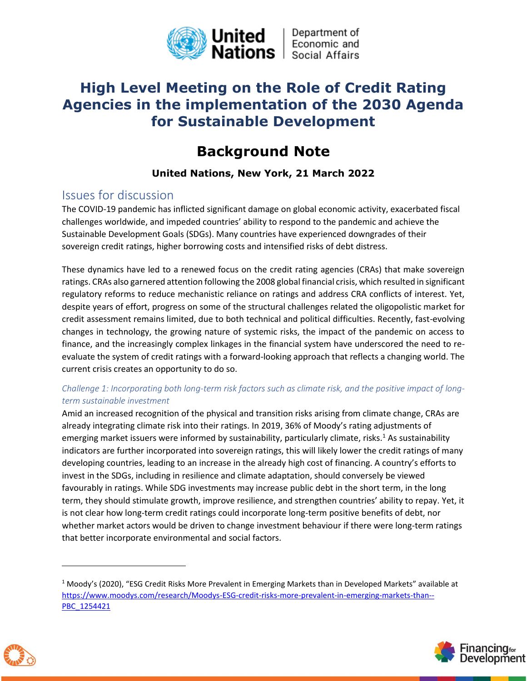

## **High Level Meeting on the Role of Credit Rating Agencies in the implementation of the 2030 Agenda for Sustainable Development**

# **Background Note**

## **United Nations, New York, 21 March 2022**

## Issues for discussion

The COVID-19 pandemic has inflicted significant damage on global economic activity, exacerbated fiscal challenges worldwide, and impeded countries' ability to respond to the pandemic and achieve the Sustainable Development Goals (SDGs). Many countries have experienced downgrades of their sovereign credit ratings, higher borrowing costs and intensified risks of debt distress.

These dynamics have led to a renewed focus on the credit rating agencies (CRAs) that make sovereign ratings. CRAs also garnered attention following the 2008 global financial crisis, which resulted in significant regulatory reforms to reduce mechanistic reliance on ratings and address CRA conflicts of interest. Yet, despite years of effort, progress on some of the structural challenges related the oligopolistic market for credit assessment remains limited, due to both technical and political difficulties. Recently, fast-evolving changes in technology, the growing nature of systemic risks, the impact of the pandemic on access to finance, and the increasingly complex linkages in the financial system have underscored the need to reevaluate the system of credit ratings with a forward-looking approach that reflects a changing world. The current crisis creates an opportunity to do so.

### *Challenge 1: Incorporating both long-term risk factors such as climate risk, and the positive impact of longterm sustainable investment*

Amid an increased recognition of the physical and transition risks arising from climate change, CRAs are already integrating climate risk into their ratings. In 2019, 36% of Moody's rating adjustments of emerging market issuers were informed by sustainability, particularly climate, risks.<sup>1</sup> As sustainability indicators are further incorporated into sovereign ratings, this will likely lower the credit ratings of many developing countries, leading to an increase in the already high cost of financing. A country's efforts to invest in the SDGs, including in resilience and climate adaptation, should conversely be viewed favourably in ratings. While SDG investments may increase public debt in the short term, in the long term, they should stimulate growth, improve resilience, and strengthen countries' ability to repay. Yet, it is not clear how long-term credit ratings could incorporate long-term positive benefits of debt, nor whether market actors would be driven to change investment behaviour if there were long-term ratings that better incorporate environmental and social factors.





<sup>1</sup> Moody's (2020), "ESG Credit Risks More Prevalent in Emerging Markets than in Developed Markets" available at [https://www.moodys.com/research/Moodys-ESG-credit-risks-more-prevalent-in-emerging-markets-than--](https://www.moodys.com/research/Moodys-ESG-credit-risks-more-prevalent-in-emerging-markets-than--PBC_1254421) [PBC\\_1254421](https://www.moodys.com/research/Moodys-ESG-credit-risks-more-prevalent-in-emerging-markets-than--PBC_1254421)